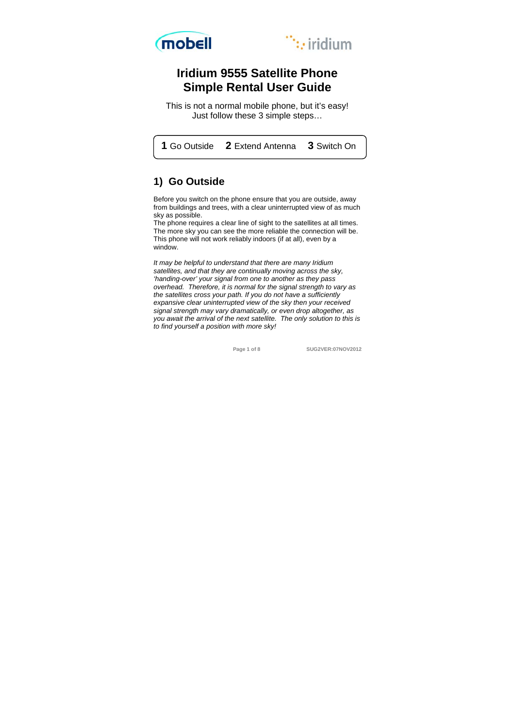



# **Iridium 9555 Satellite Phone Simple Rental User Guide**

This is not a normal mobile phone, but it's easy! Just follow these 3 simple steps…

 **1** Go Outside **2** Extend Antenna **3** Switch On

# **1) Go Outside**

Before you switch on the phone ensure that you are outside, away from buildings and trees, with a clear uninterrupted view of as much sky as possible.

The phone requires a clear line of sight to the satellites at all times. The more sky you can see the more reliable the connection will be. This phone will not work reliably indoors (if at all), even by a window.

*It may be helpful to understand that there are many Iridium satellites, and that they are continually moving across the sky, 'handing-over' your signal from one to another as they pass overhead. Therefore, it is normal for the signal strength to vary as the satellites cross your path. If you do not have a sufficiently expansive clear uninterrupted view of the sky then your received signal strength may vary dramatically, or even drop altogether, as you await the arrival of the next satellite. The only solution to this is to find yourself a position with more sky!* 

 **Page 1 of 8 SUG2VER:07NOV2012**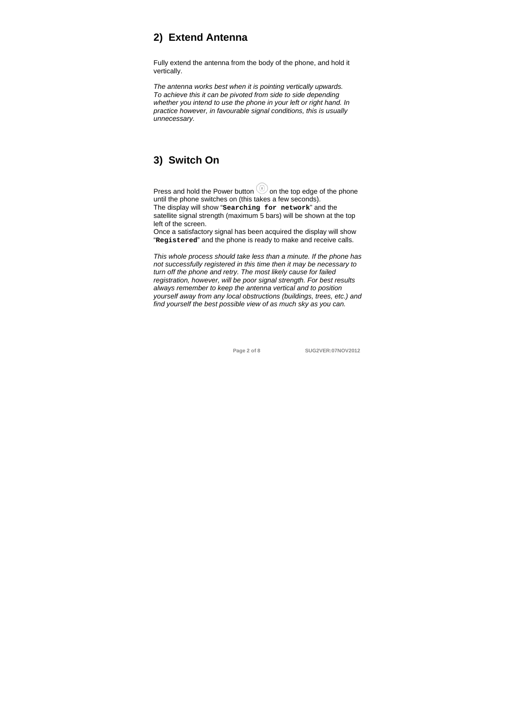# **2) Extend Antenna**

Fully extend the antenna from the body of the phone, and hold it vertically.

*The antenna works best when it is pointing vertically upwards. To achieve this it can be pivoted from side to side depending whether you intend to use the phone in your left or right hand. In practice however, in favourable signal conditions, this is usually unnecessary.*

# **3) Switch On**

Press and hold the Power button  $\textcircled{\tiny{}}$  on the top edge of the phone until the phone switches on (this takes a few seconds). The display will show "**Searching for network**" and the satellite signal strength (maximum 5 bars) will be shown at the top left of the screen.

Once a satisfactory signal has been acquired the display will show "**Registered**" and the phone is ready to make and receive calls.

*This whole process should take less than a minute. If the phone has not successfully registered in this time then it may be necessary to turn off the phone and retry. The most likely cause for failed registration, however, will be poor signal strength. For best results always remember to keep the antenna vertical and to position yourself away from any local obstructions (buildings, trees, etc.) and find yourself the best possible view of as much sky as you can.* 

 **Page 2 of 8 SUG2VER:07NOV2012**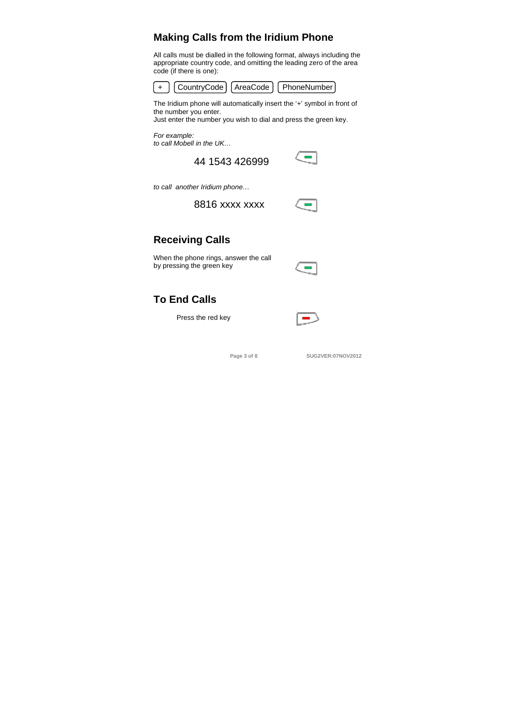# **Making Calls from the Iridium Phone**

All calls must be dialled in the following format, always including the appropriate country code, and omitting the leading zero of the area code (if there is one):



The Iridium phone will automatically insert the '+' symbol in front of the number you enter.

Just enter the number you wish to dial and press the green key.

*For example: to call Mobell in the UK…* 

44 1543 426999

*to call another Iridium phone…* 

8816 xxxx xxxx



 $\sim$ 

# **Receiving Calls**

When the phone rings, answer the call by pressing the green key

| $\frac{1}{2}$ | W<br>--- |
|---------------|----------|

# **To End Calls**

Press the red key



 **Page 3 of 8 SUG2VER:07NOV2012**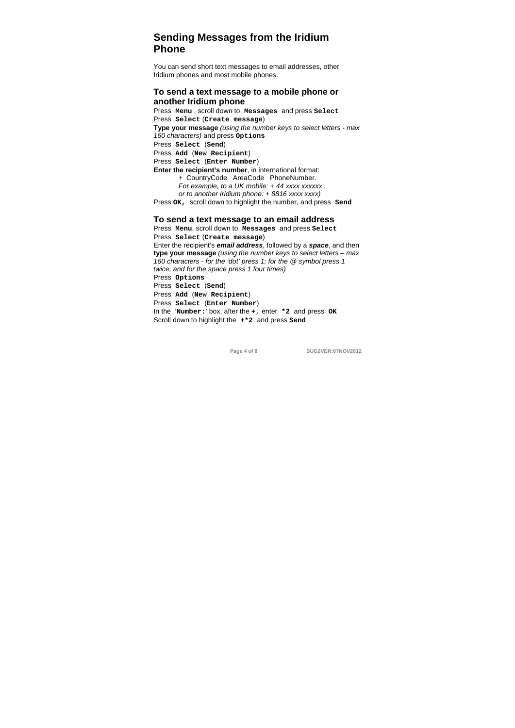# **Sending Messages from the Iridium Phone**

You can send short text messages to email addresses, other Iridium phones and most mobile phones.

## **To send a text message to a mobile phone or another Iridium phone**

Press **Menu** , scroll down to **Messages** and press **Select** Press **Select** (**Create message**) **Type your message** *(using the number keys to select letters - max 160 characters)* and press **Options** Press **Select** (**Send**) Press **Add** (**New Recipient**) Press **Select** (**Enter Number**) **Enter the recipient's number**, in international format: + CountryCode AreaCode PhoneNumber.  *For example, to a UK mobile: + 44 xxxx xxxxxx , or to another Iridium phone: + 8816 xxxx xxxx)* Press **OK,** scroll down to highlight the number, and press **Send**

## **To send a text message to an email address**

Press **Menu**, scroll down to **Messages** and press **Select** Press **Select** (**Create message**) Enter the recipient's *email address*, followed by a *space*, and then **type your message** *(using the number keys to select letters – max 160 characters - for the 'dot' press 1; for the @ symbol press 1 twice, and for the space press 1 four times)*  Press **Options** Press **Select** (**Send**) Press **Add** (**New Recipient**) Press **Select** (**Enter Number**) In the '**Number:**' box, after the **+**, enter **\*2** and press **OK** Scroll down to highlight the **+\*2** and press **Send**

 **Page 4 of 8 SUG2VER:07NOV2012**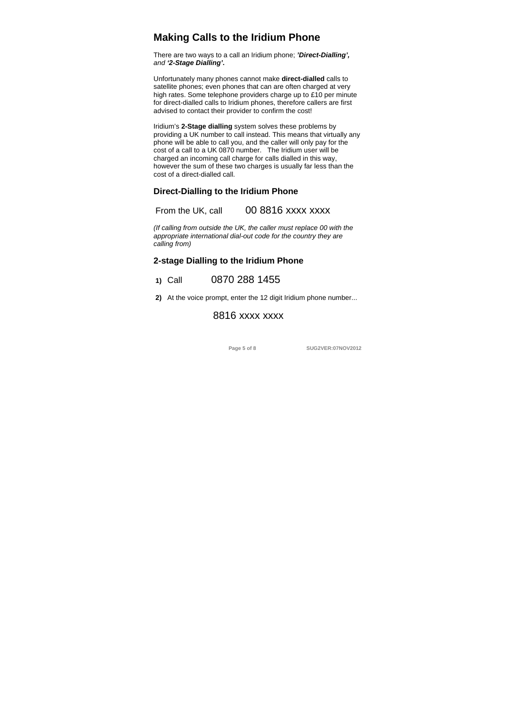## **Making Calls to the Iridium Phone**

There are two ways to a call an Iridium phone; *'Direct-Dialling', and '2-Stage Dialling'***.** 

Unfortunately many phones cannot make **direct-dialled** calls to satellite phones; even phones that can are often charged at very high rates. Some telephone providers charge up to £10 per minute for direct-dialled calls to Iridium phones, therefore callers are first advised to contact their provider to confirm the cost!

Iridium's **2-Stage dialling** system solves these problems by providing a UK number to call instead. This means that virtually any phone will be able to call you, and the caller will only pay for the cost of a call to a UK 0870 number. The Iridium user will be charged an incoming call charge for calls dialled in this way, however the sum of these two charges is usually far less than the cost of a direct-dialled call.

## **Direct-Dialling to the Iridium Phone**

## From the UK, call 00 8816 xxxx xxxx

*(If calling from outside the UK, the caller must replace 00 with the appropriate international dial-out code for the country they are calling from)* 

## **2-stage Dialling to the Iridium Phone**

 **1)** Call 0870 288 1455

**2)** At the voice prompt, enter the 12 digit Iridium phone number...

## 8816 xxxx xxxx

 **Page 5 of 8 SUG2VER:07NOV2012**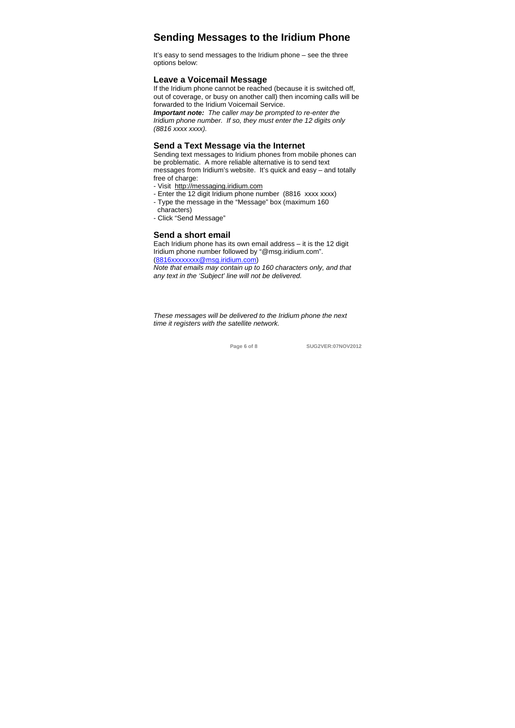## **Sending Messages to the Iridium Phone**

It's easy to send messages to the Iridium phone – see the three options below:

## **Leave a Voicemail Message**

If the Iridium phone cannot be reached (because it is switched off, out of coverage, or busy on another call) then incoming calls will be forwarded to the Iridium Voicemail Service.

*Important note: The caller may be prompted to re-enter the Iridium phone number. If so, they must enter the 12 digits only (8816 xxxx xxxx).* 

## **Send a Text Message via the Internet**

Sending text messages to Iridium phones from mobile phones can be problematic. A more reliable alternative is to send text messages from Iridium's website. It's quick and easy – and totally free of charge:

- Visit http://messaging.iridium.com
- Enter the 12 digit Iridium phone number (8816 xxxx xxxx) - Type the message in the "Message" box (maximum 160
	-
- characters) - Click "Send Message"

### **Send a short email**

Each Iridium phone has its own email address – it is the 12 digit Iridium phone number followed by "@msg.iridium.com". (8816xxxxxxxx@msg.iridium.com) *Note that emails may contain up to 160 characters only, and that* 

*any text in the 'Subject' line will not be delivered.* 

*These messages will be delivered to the Iridium phone the next time it registers with the satellite network.* 

```
 Page 6 of 8 SUG2VER:07NOV2012
```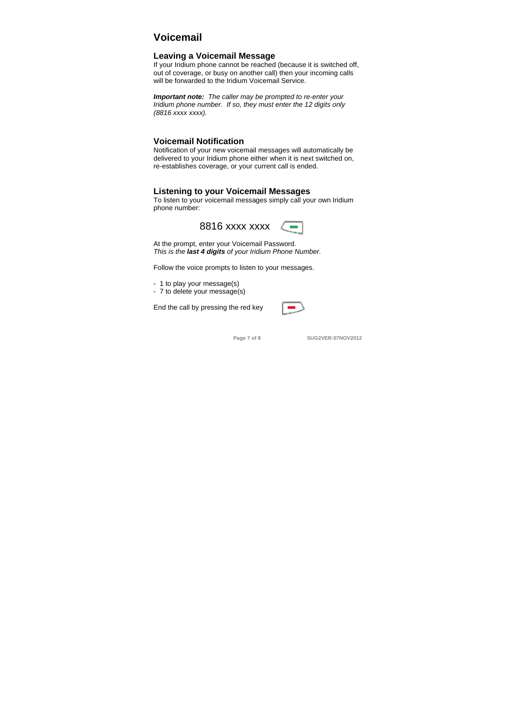# **Voicemail**

## **Leaving a Voicemail Message**

If your Iridium phone cannot be reached (because it is switched off, out of coverage, or busy on another call) then your incoming calls will be forwarded to the Iridium Voicemail Service.

*Important note: The caller may be prompted to re-enter your Iridium phone number. If so, they must enter the 12 digits only (8816 xxxx xxxx).*

## **Voicemail Notification**

Notification of your new voicemail messages will automatically be delivered to your Iridium phone either when it is next switched on, re-establishes coverage, or your current call is ended.

#### **Listening to your Voicemail Messages**

To listen to your voicemail messages simply call your own Iridium phone number:



At the prompt, enter your Voicemail Password. *This is the last 4 digits of your Iridium Phone Number.* 

Follow the voice prompts to listen to your messages.

- 1 to play your message(s)

- 7 to delete your message(s)

End the call by pressing the red key



**Page 7 of 8 SUG2VER:07NOV2012**